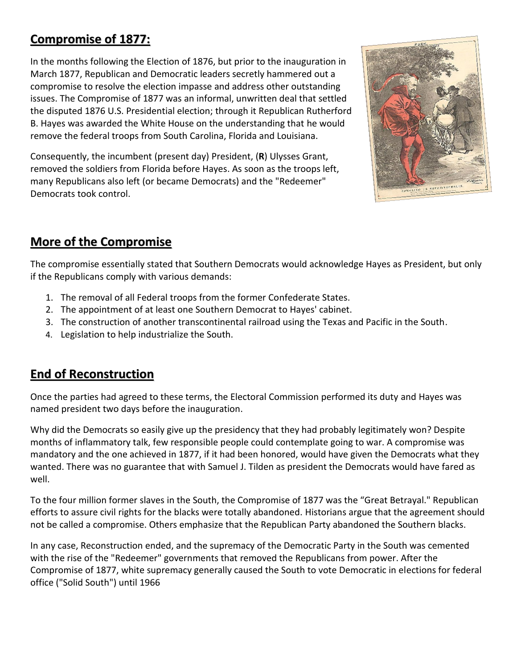## **Compromise of 1877:**

In the months following the Election of 1876, but prior to the inauguration in March 1877, Republican and Democratic leaders secretly hammered out a compromise to resolve the election impasse and address other outstanding issues. The Compromise of 1877 was an informal, unwritten deal that settled the disputed 1876 U.S. Presidential election; through it Republican Rutherford B. Hayes was awarded the White House on the understanding that he would remove the federal troops from South Carolina, Florida and Louisiana.

Consequently, the incumbent (present day) President, (**R**) Ulysses Grant, removed the soldiers from Florida before Hayes. As soon as the troops left, many Republicans also left (or became Democrats) and the "Redeemer" Democrats took control.



## **More of the Compromise**

The compromise essentially stated that Southern Democrats would acknowledge Hayes as President, but only if the Republicans comply with various demands:

- 1. The removal of all Federal troops from the former Confederate States.
- 2. The appointment of at least one Southern Democrat to Hayes' cabinet.
- 3. The construction of another transcontinental railroad using the Texas and Pacific in the South.
- 4. Legislation to help industrialize the South.

## **End of Reconstruction**

Once the parties had agreed to these terms, the Electoral Commission performed its duty and Hayes was named president two days before the inauguration.

Why did the Democrats so easily give up the presidency that they had probably legitimately won? Despite months of inflammatory talk, few responsible people could contemplate going to war. A compromise was mandatory and the one achieved in 1877, if it had been honored, would have given the Democrats what they wanted. There was no guarantee that with Samuel J. Tilden as president the Democrats would have fared as well.

To the four million former slaves in the South, the Compromise of 1877 was the "Great Betrayal." Republican efforts to assure civil rights for the blacks were totally abandoned. Historians argue that the agreement should not be called a compromise. Others emphasize that the Republican Party abandoned the Southern blacks.

In any case, Reconstruction ended, and the supremacy of the Democratic Party in the South was cemented with the rise of the "Redeemer" governments that removed the Republicans from power. After the Compromise of 1877, white supremacy generally caused the South to vote Democratic in elections for federal office ("Solid South") until 1966